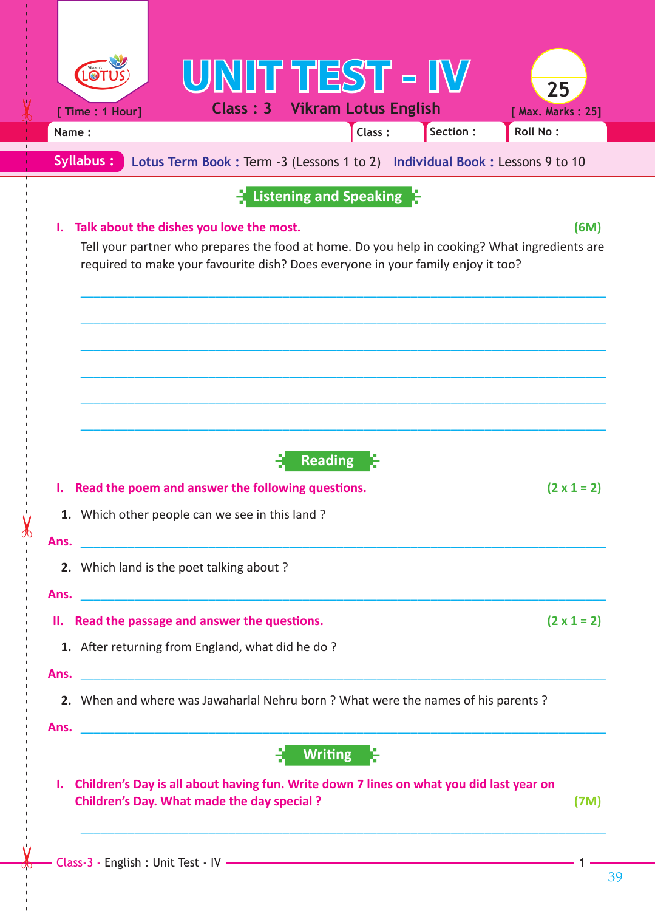| [ Time : 1 Hour] | UNIT TEST - IV<br><b>Class: 3 Vikram Lotus English</b>                                                                                                                                                                        | 25<br>[ Max. Marks: 25] |
|------------------|-------------------------------------------------------------------------------------------------------------------------------------------------------------------------------------------------------------------------------|-------------------------|
| Name:            | Class:                                                                                                                                                                                                                        | Section :<br>Roll No:   |
| Syllabus:        | Lotus Term Book: Term -3 (Lessons 1 to 2) Individual Book: Lessons 9 to 10                                                                                                                                                    |                         |
|                  | Listening and Speaking                                                                                                                                                                                                        |                         |
| ь.               |                                                                                                                                                                                                                               | (6M)                    |
|                  | Talk about the dishes you love the most.<br>Tell your partner who prepares the food at home. Do you help in cooking? What ingredients are<br>required to make your favourite dish? Does everyone in your family enjoy it too? |                         |
|                  |                                                                                                                                                                                                                               |                         |
|                  |                                                                                                                                                                                                                               |                         |
|                  |                                                                                                                                                                                                                               |                         |
|                  |                                                                                                                                                                                                                               |                         |
|                  |                                                                                                                                                                                                                               |                         |
|                  |                                                                                                                                                                                                                               |                         |
|                  | <b>Reading</b>                                                                                                                                                                                                                |                         |
|                  | Read the poem and answer the following questions.                                                                                                                                                                             |                         |
|                  | 1. Which other people can we see in this land?                                                                                                                                                                                |                         |
| Ans.             |                                                                                                                                                                                                                               | $(2 \times 1 = 2)$      |
|                  | 2. Which land is the poet talking about?                                                                                                                                                                                      |                         |
| Ans.<br>н.       |                                                                                                                                                                                                                               |                         |
|                  | Read the passage and answer the questions.                                                                                                                                                                                    | $(2 \times 1 = 2)$      |
| Ans.             | 1. After returning from England, what did he do?                                                                                                                                                                              |                         |
|                  | <u> 2000 - 2000 - 2000 - 2000 - 2000 - 2000 - 2000 - 2000 - 2000 - 2000 - 2000 - 2000 - 2000 - 2000 - 2000 - 200</u>                                                                                                          |                         |
| Ans.             | 2. When and where was Jawaharlal Nehru born ? What were the names of his parents ?                                                                                                                                            |                         |
|                  | <u> 2000 - 2000 - 2000 - 2000 - 2000 - 2000 - 2000 - 2000 - 2000 - 2000 - 2000 - 2000 - 2000 - 2000 - 2000 - 200</u><br><b>Writing</b>                                                                                        |                         |

------ - - --------------------------------------- --- -------------------------------------------------- -------------